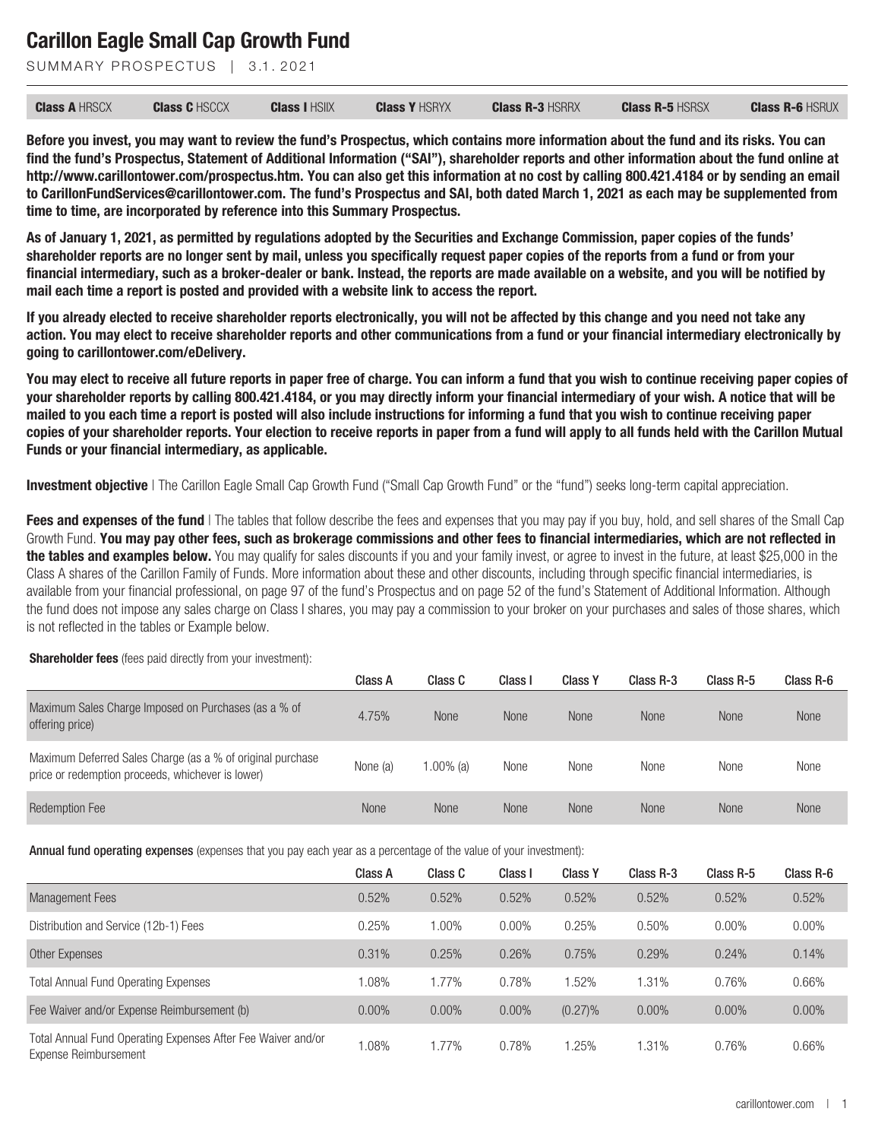SUMMARY PROSPECTUS | 3.1.2021

| <b>Class A HRSCX</b> | <b>Class C</b> HSCCX | <b>Class I HSIIX</b> | <b>Class Y HSRYX</b> | <b>Class R-3 HSRRX</b> | <b>Class R-5 HSRSX</b> | <b>Class R-6 HSRUX</b> |
|----------------------|----------------------|----------------------|----------------------|------------------------|------------------------|------------------------|
|----------------------|----------------------|----------------------|----------------------|------------------------|------------------------|------------------------|

**Before you invest, you may want to review the fund's Prospectus, which contains more information about the fund and its risks. You can find the fund's Prospectus, Statement of Additional Information ("SAI"), shareholder reports and other information about the fund online at http://www.carillontower.com/prospectus.htm. You can also get this information at no cost by calling 800.421.4184 or by sending an email to CarillonFundServices@carillontower.com. The fund's Prospectus and SAI, both dated March 1, 2021 as each may be supplemented from time to time, are incorporated by reference into this Summary Prospectus.**

**As of January 1, 2021, as permitted by regulations adopted by the Securities and Exchange Commission, paper copies of the funds' shareholder reports are no longer sent by mail, unless you specifically request paper copies of the reports from a fund or from your financial intermediary, such as a broker-dealer or bank. Instead, the reports are made available on a website, and you will be notified by mail each time a report is posted and provided with a website link to access the report.**

**If you already elected to receive shareholder reports electronically, you will not be affected by this change and you need not take any action. You may elect to receive shareholder reports and other communications from a fund or your financial intermediary electronically by going to carillontower.com/eDelivery.**

**You may elect to receive all future reports in paper free of charge. You can inform a fund that you wish to continue receiving paper copies of your shareholder reports by calling 800.421.4184, or you may directly inform your financial intermediary of your wish. A notice that will be mailed to you each time a report is posted will also include instructions for informing a fund that you wish to continue receiving paper copies of your shareholder reports. Your election to receive reports in paper from a fund will apply to all funds held with the Carillon Mutual Funds or your financial intermediary, as applicable.**

**Investment objective** | The Carillon Eagle Small Cap Growth Fund ("Small Cap Growth Fund" or the "fund") seeks long-term capital appreciation.

**Fees and expenses of the fund** I The tables that follow describe the fees and expenses that you may pay if you buy, hold, and sell shares of the Small Cap Growth Fund. **You may pay other fees, such as brokerage commissions and other fees to financial intermediaries, which are not reflected in the tables and examples below.** You may qualify for sales discounts if you and your family invest, or agree to invest in the future, at least \$25,000 in the Class A shares of the Carillon Family of Funds. More information about these and other discounts, including through specific financial intermediaries, is available from your financial professional, on page 97 of the fund's Prospectus and on page 52 of the fund's Statement of Additional Information. Although the fund does not impose any sales charge on Class I shares, you may pay a commission to your broker on your purchases and sales of those shares, which is not reflected in the tables or Example below.

#### **Shareholder fees** (fees paid directly from your investment):

|                                                                                                                 | Class A     | Class C     | Class I | <b>Class Y</b> | Class R-3   | Class R-5   | Class R-6   |
|-----------------------------------------------------------------------------------------------------------------|-------------|-------------|---------|----------------|-------------|-------------|-------------|
| Maximum Sales Charge Imposed on Purchases (as a % of<br>offering price)                                         | 4.75%       | <b>None</b> | None    | None           | <b>None</b> | <b>None</b> | <b>None</b> |
| Maximum Deferred Sales Charge (as a % of original purchase<br>price or redemption proceeds, whichever is lower) | None (a)    | 1.00% (a)   | None    | None           | None        | None        | None        |
| <b>Redemption Fee</b>                                                                                           | <b>None</b> | <b>None</b> | None    | <b>None</b>    | <b>None</b> | <b>None</b> | <b>None</b> |

Annual fund operating expenses (expenses that you pay each year as a percentage of the value of your investment):

|                                                                                       | Class A  | Class C  | Class I | <b>Class Y</b> | Class R-3 | Class R-5 | Class R-6 |
|---------------------------------------------------------------------------------------|----------|----------|---------|----------------|-----------|-----------|-----------|
| <b>Management Fees</b>                                                                | 0.52%    | 0.52%    | 0.52%   | 0.52%          | 0.52%     | 0.52%     | 0.52%     |
| Distribution and Service (12b-1) Fees                                                 | 0.25%    | 1.00%    | 0.00%   | 0.25%          | 0.50%     | $0.00\%$  | 0.00%     |
| Other Expenses                                                                        | 0.31%    | 0.25%    | 0.26%   | 0.75%          | 0.29%     | 0.24%     | 0.14%     |
| <b>Total Annual Fund Operating Expenses</b>                                           | $0.08\%$ | 1.77%    | 0.78%   | 1.52%          | 1.31%     | 0.76%     | 0.66%     |
| Fee Waiver and/or Expense Reimbursement (b)                                           | $0.00\%$ | $0.00\%$ | 0.00%   | $(0.27)\%$     | 0.00%     | $0.00\%$  | 0.00%     |
| Total Annual Fund Operating Expenses After Fee Waiver and/or<br>Expense Reimbursement | .08%     | 1.77%    | 0.78%   | .25%           | 1.31%     | 0.76%     | 0.66%     |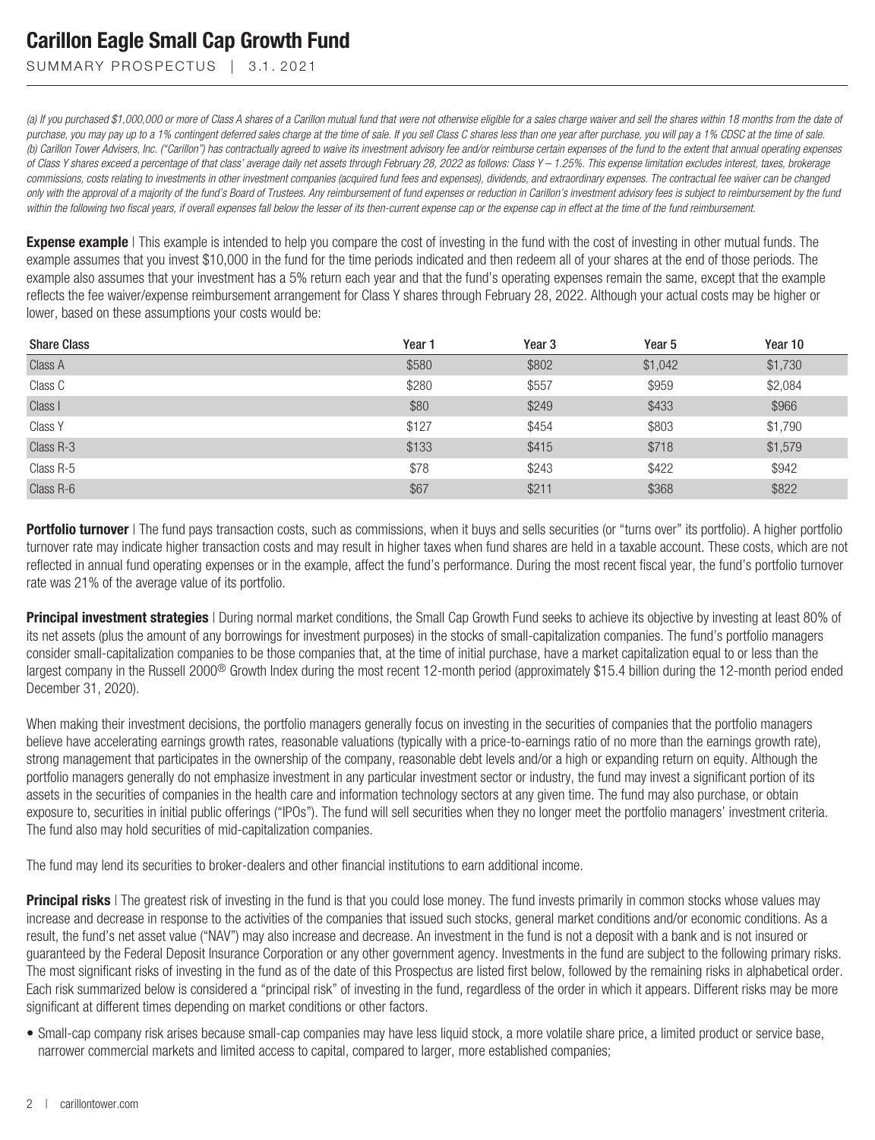SUMMARY PROSPECTUS | 3.1.2021

*(a) If you purchased \$1,000,000 or more of Class A shares of a Carillon mutual fund that were not otherwise eligible for a sales charge waiver and sell the shares within 18 months from the date of purchase, you may pay up to a 1% contingent deferred sales charge at the time of sale. If you sell Class C shares less than one year after purchase, you will pay a 1% CDSC at the time of sale. (b) Carillon Tower Advisers, Inc. ("Carillon") has contractually agreed to waive its investment advisory fee and/or reimburse certain expenses of the fund to the extent that annual operating expenses of Class Y shares exceed a percentage of that class' average daily net assets through February 28, 2022 as follows: Class Y – 1.25%. This expense limitation excludes interest, taxes, brokerage commissions, costs relating to investments in other investment companies (acquired fund fees and expenses), dividends, and extraordinary expenses. The contractual fee waiver can be changed only with the approval of a majority of the fund's Board of Trustees. Any reimbursement of fund expenses or reduction in Carillon's investment advisory fees is subject to reimbursement by the fund within the following two fiscal years, if overall expenses fall below the lesser of its then-current expense cap or the expense cap in effect at the time of the fund reimbursement.*

**Expense example** | This example is intended to help you compare the cost of investing in the fund with the cost of investing in other mutual funds. The example assumes that you invest \$10,000 in the fund for the time periods indicated and then redeem all of your shares at the end of those periods. The example also assumes that your investment has a 5% return each year and that the fund's operating expenses remain the same, except that the example reflects the fee waiver/expense reimbursement arrangement for Class Y shares through February 28, 2022. Although your actual costs may be higher or lower, based on these assumptions your costs would be:

| <b>Share Class</b> | Year 1 | Year <sub>3</sub> | Year <sub>5</sub> | Year 10 |
|--------------------|--------|-------------------|-------------------|---------|
| Class A            | \$580  | \$802             | \$1,042           | \$1,730 |
| Class C            | \$280  | \$557             | \$959             | \$2,084 |
| Class I            | \$80   | \$249             | \$433             | \$966   |
| Class Y            | \$127  | \$454             | \$803             | \$1,790 |
| Class R-3          | \$133  | \$415             | \$718             | \$1,579 |
| Class R-5          | \$78   | \$243             | \$422             | \$942   |
| Class R-6          | \$67   | \$211             | \$368             | \$822   |

**Portfolio turnover** | The fund pays transaction costs, such as commissions, when it buys and sells securities (or "turns over" its portfolio). A higher portfolio turnover rate may indicate higher transaction costs and may result in higher taxes when fund shares are held in a taxable account. These costs, which are not reflected in annual fund operating expenses or in the example, affect the fund's performance. During the most recent fiscal year, the fund's portfolio turnover rate was 21% of the average value of its portfolio.

**Principal investment strategies** I During normal market conditions, the Small Cap Growth Fund seeks to achieve its objective by investing at least 80% of its net assets (plus the amount of any borrowings for investment purposes) in the stocks of small-capitalization companies. The fund's portfolio managers consider small-capitalization companies to be those companies that, at the time of initial purchase, have a market capitalization equal to or less than the largest company in the Russell 2000<sup>®</sup> Growth Index during the most recent 12-month period (approximately \$15.4 billion during the 12-month period ended December 31, 2020).

When making their investment decisions, the portfolio managers generally focus on investing in the securities of companies that the portfolio managers believe have accelerating earnings growth rates, reasonable valuations (typically with a price-to-earnings ratio of no more than the earnings growth rate), strong management that participates in the ownership of the company, reasonable debt levels and/or a high or expanding return on equity. Although the portfolio managers generally do not emphasize investment in any particular investment sector or industry, the fund may invest a significant portion of its assets in the securities of companies in the health care and information technology sectors at any given time. The fund may also purchase, or obtain exposure to, securities in initial public offerings ("IPOs"). The fund will sell securities when they no longer meet the portfolio managers' investment criteria. The fund also may hold securities of mid-capitalization companies.

The fund may lend its securities to broker-dealers and other financial institutions to earn additional income.

**Principal risks** | The greatest risk of investing in the fund is that you could lose money. The fund invests primarily in common stocks whose values may increase and decrease in response to the activities of the companies that issued such stocks, general market conditions and/or economic conditions. As a result, the fund's net asset value ("NAV") may also increase and decrease. An investment in the fund is not a deposit with a bank and is not insured or guaranteed by the Federal Deposit Insurance Corporation or any other government agency. Investments in the fund are subject to the following primary risks. The most significant risks of investing in the fund as of the date of this Prospectus are listed first below, followed by the remaining risks in alphabetical order. Each risk summarized below is considered a "principal risk" of investing in the fund, regardless of the order in which it appears. Different risks may be more significant at different times depending on market conditions or other factors.

• Small-cap company risk arises because small-cap companies may have less liquid stock, a more volatile share price, a limited product or service base, narrower commercial markets and limited access to capital, compared to larger, more established companies;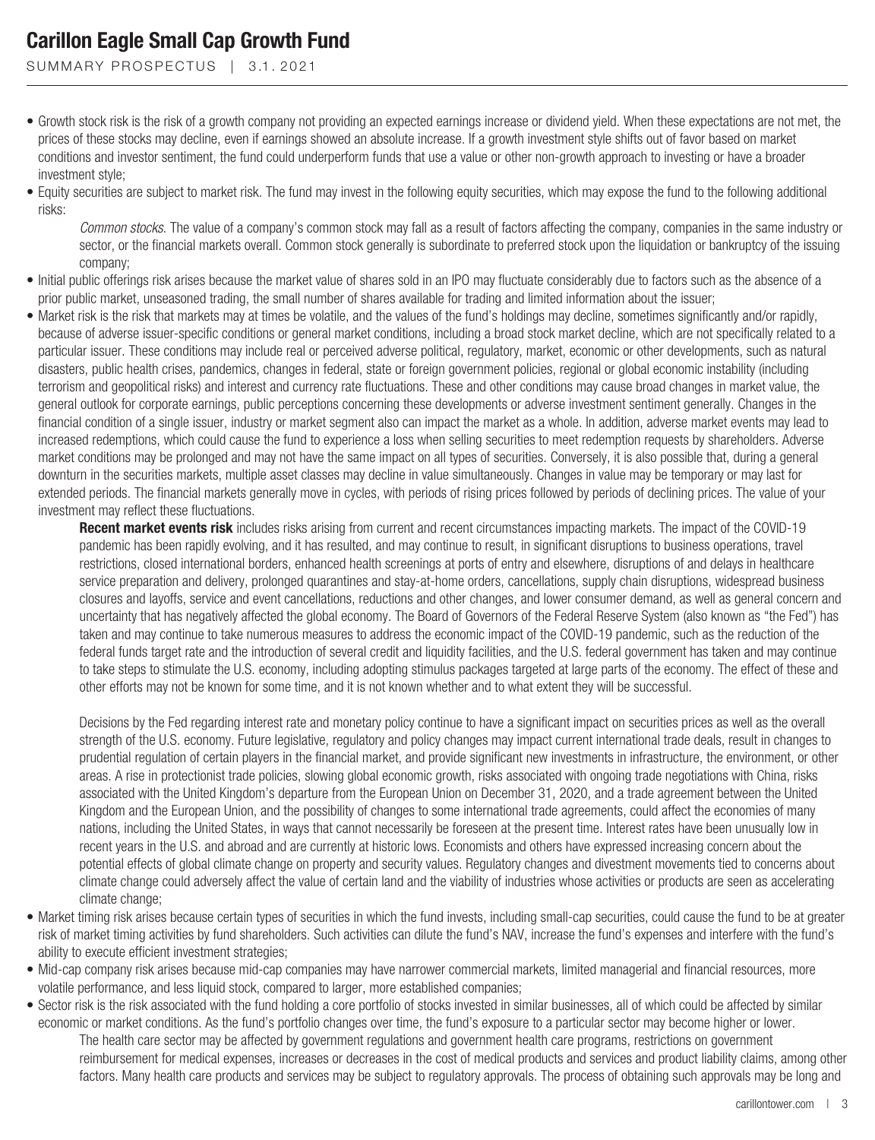SUMMARY PROSPECTUS | 3.1.2021

- Growth stock risk is the risk of a growth company not providing an expected earnings increase or dividend yield. When these expectations are not met, the prices of these stocks may decline, even if earnings showed an absolute increase. If a growth investment style shifts out of favor based on market conditions and investor sentiment, the fund could underperform funds that use a value or other non-growth approach to investing or have a broader investment style;
- Equity securities are subject to market risk. The fund may invest in the following equity securities, which may expose the fund to the following additional risks:

*Common stocks*. The value of a company's common stock may fall as a result of factors affecting the company, companies in the same industry or sector, or the financial markets overall. Common stock generally is subordinate to preferred stock upon the liquidation or bankruptcy of the issuing company;

- Initial public offerings risk arises because the market value of shares sold in an IPO may fluctuate considerably due to factors such as the absence of a prior public market, unseasoned trading, the small number of shares available for trading and limited information about the issuer;
- Market risk is the risk that markets may at times be volatile, and the values of the fund's holdings may decline, sometimes significantly and/or rapidly, because of adverse issuer-specific conditions or general market conditions, including a broad stock market decline, which are not specifically related to a particular issuer. These conditions may include real or perceived adverse political, regulatory, market, economic or other developments, such as natural disasters, public health crises, pandemics, changes in federal, state or foreign government policies, regional or global economic instability (including terrorism and geopolitical risks) and interest and currency rate fluctuations. These and other conditions may cause broad changes in market value, the general outlook for corporate earnings, public perceptions concerning these developments or adverse investment sentiment generally. Changes in the financial condition of a single issuer, industry or market segment also can impact the market as a whole. In addition, adverse market events may lead to increased redemptions, which could cause the fund to experience a loss when selling securities to meet redemption requests by shareholders. Adverse market conditions may be prolonged and may not have the same impact on all types of securities. Conversely, it is also possible that, during a general downturn in the securities markets, multiple asset classes may decline in value simultaneously. Changes in value may be temporary or may last for extended periods. The financial markets generally move in cycles, with periods of rising prices followed by periods of declining prices. The value of your investment may reflect these fluctuations.

**Recent market events risk** includes risks arising from current and recent circumstances impacting markets. The impact of the COVID-19 pandemic has been rapidly evolving, and it has resulted, and may continue to result, in significant disruptions to business operations, travel restrictions, closed international borders, enhanced health screenings at ports of entry and elsewhere, disruptions of and delays in healthcare service preparation and delivery, prolonged quarantines and stay-at-home orders, cancellations, supply chain disruptions, widespread business closures and layoffs, service and event cancellations, reductions and other changes, and lower consumer demand, as well as general concern and uncertainty that has negatively affected the global economy. The Board of Governors of the Federal Reserve System (also known as "the Fed") has taken and may continue to take numerous measures to address the economic impact of the COVID-19 pandemic, such as the reduction of the federal funds target rate and the introduction of several credit and liquidity facilities, and the U.S. federal government has taken and may continue to take steps to stimulate the U.S. economy, including adopting stimulus packages targeted at large parts of the economy. The effect of these and other efforts may not be known for some time, and it is not known whether and to what extent they will be successful.

Decisions by the Fed regarding interest rate and monetary policy continue to have a significant impact on securities prices as well as the overall strength of the U.S. economy. Future legislative, regulatory and policy changes may impact current international trade deals, result in changes to prudential regulation of certain players in the financial market, and provide significant new investments in infrastructure, the environment, or other areas. A rise in protectionist trade policies, slowing global economic growth, risks associated with ongoing trade negotiations with China, risks associated with the United Kingdom's departure from the European Union on December 31, 2020, and a trade agreement between the United Kingdom and the European Union, and the possibility of changes to some international trade agreements, could affect the economies of many nations, including the United States, in ways that cannot necessarily be foreseen at the present time. Interest rates have been unusually low in recent years in the U.S. and abroad and are currently at historic lows. Economists and others have expressed increasing concern about the potential effects of global climate change on property and security values. Regulatory changes and divestment movements tied to concerns about climate change could adversely affect the value of certain land and the viability of industries whose activities or products are seen as accelerating climate change;

- Market timing risk arises because certain types of securities in which the fund invests, including small-cap securities, could cause the fund to be at greater risk of market timing activities by fund shareholders. Such activities can dilute the fund's NAV, increase the fund's expenses and interfere with the fund's ability to execute efficient investment strategies;
- Mid-cap company risk arises because mid-cap companies may have narrower commercial markets, limited managerial and financial resources, more volatile performance, and less liquid stock, compared to larger, more established companies;
- Sector risk is the risk associated with the fund holding a core portfolio of stocks invested in similar businesses, all of which could be affected by similar economic or market conditions. As the fund's portfolio changes over time, the fund's exposure to a particular sector may become higher or lower. The health care sector may be affected by government regulations and government health care programs, restrictions on government reimbursement for medical expenses, increases or decreases in the cost of medical products and services and product liability claims, among other factors. Many health care products and services may be subject to regulatory approvals. The process of obtaining such approvals may be long and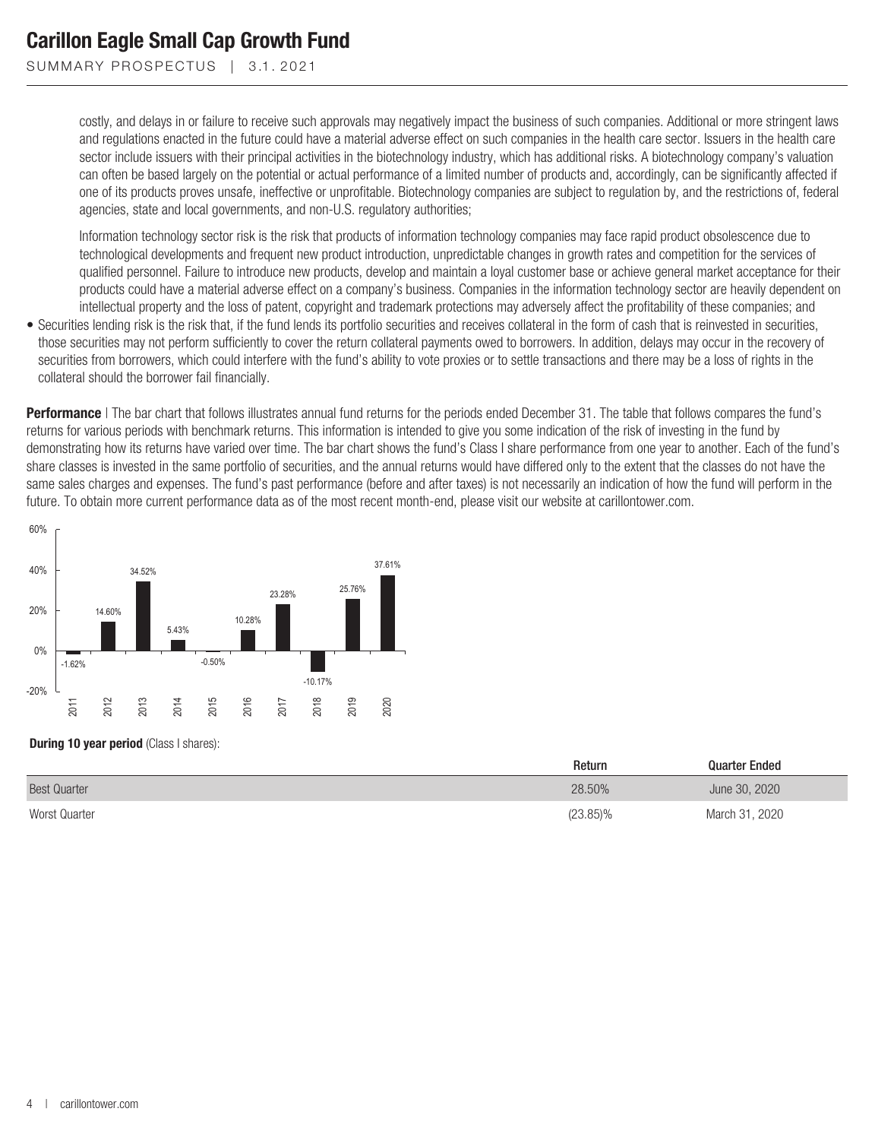SUMMARY PROSPECTUS | 3.1.2021

costly, and delays in or failure to receive such approvals may negatively impact the business of such companies. Additional or more stringent laws and regulations enacted in the future could have a material adverse effect on such companies in the health care sector. Issuers in the health care sector include issuers with their principal activities in the biotechnology industry, which has additional risks. A biotechnology company's valuation can often be based largely on the potential or actual performance of a limited number of products and, accordingly, can be significantly affected if one of its products proves unsafe, ineffective or unprofitable. Biotechnology companies are subject to regulation by, and the restrictions of, federal agencies, state and local governments, and non-U.S. regulatory authorities;

Information technology sector risk is the risk that products of information technology companies may face rapid product obsolescence due to technological developments and frequent new product introduction, unpredictable changes in growth rates and competition for the services of qualified personnel. Failure to introduce new products, develop and maintain a loyal customer base or achieve general market acceptance for their products could have a material adverse effect on a company's business. Companies in the information technology sector are heavily dependent on intellectual property and the loss of patent, copyright and trademark protections may adversely affect the profitability of these companies; and

• Securities lending risk is the risk that, if the fund lends its portfolio securities and receives collateral in the form of cash that is reinvested in securities, those securities may not perform sufficiently to cover the return collateral payments owed to borrowers. In addition, delays may occur in the recovery of securities from borrowers, which could interfere with the fund's ability to vote proxies or to settle transactions and there may be a loss of rights in the collateral should the borrower fail financially.

**Performance** | The bar chart that follows illustrates annual fund returns for the periods ended December 31. The table that follows compares the fund's returns for various periods with benchmark returns. This information is intended to give you some indication of the risk of investing in the fund by demonstrating how its returns have varied over time. The bar chart shows the fund's Class I share performance from one year to another. Each of the fund's share classes is invested in the same portfolio of securities, and the annual returns would have differed only to the extent that the classes do not have the same sales charges and expenses. The fund's past performance (before and after taxes) is not necessarily an indication of how the fund will perform in the future. To obtain more current performance data as of the most recent month-end, please visit our website at carillontower.com.



#### **During 10 year period** (Class I shares):

|                     | Return      | <b>Quarter Ended</b> |  |
|---------------------|-------------|----------------------|--|
| <b>Best Quarter</b> | 28.50%      | June 30, 2020        |  |
| Worst Quarter       | $(23.85)\%$ | March 31, 2020       |  |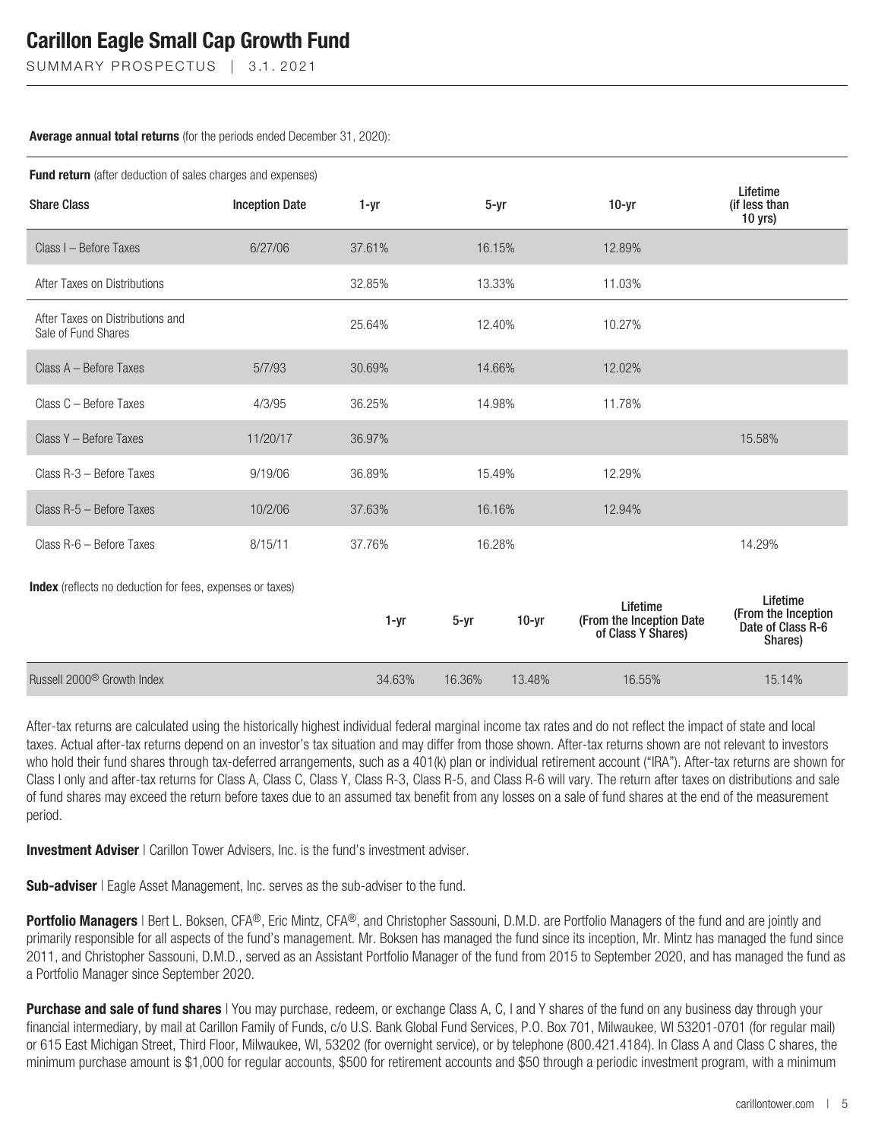SUMMARY PROSPECTUS | 3.1.2021

#### **Average annual total returns** (for the periods ended December 31, 2020):

| <b>Fund return</b> (after deduction of sales charges and expenses) |                       |        |          |         |                                                            |                                                                 |  |  |
|--------------------------------------------------------------------|-----------------------|--------|----------|---------|------------------------------------------------------------|-----------------------------------------------------------------|--|--|
| <b>Share Class</b>                                                 | <b>Inception Date</b> | 1-yr   | $5 - yr$ |         | $10-yr$                                                    | Lifetime<br>(if less than<br>$10$ yrs)                          |  |  |
| Class I - Before Taxes                                             | 6/27/06               | 37.61% | 16.15%   |         | 12.89%                                                     |                                                                 |  |  |
| After Taxes on Distributions                                       |                       | 32.85% | 13.33%   |         | 11.03%                                                     |                                                                 |  |  |
| After Taxes on Distributions and<br>Sale of Fund Shares            |                       | 25.64% | 12.40%   |         | 10.27%                                                     |                                                                 |  |  |
| Class A - Before Taxes                                             | 5/7/93                | 30.69% | 14.66%   |         | 12.02%                                                     |                                                                 |  |  |
| Class C - Before Taxes                                             | 4/3/95                | 36.25% | 14.98%   |         | 11.78%                                                     |                                                                 |  |  |
| Class Y - Before Taxes                                             | 11/20/17              | 36.97% |          |         |                                                            | 15.58%                                                          |  |  |
| Class R-3 - Before Taxes                                           | 9/19/06               | 36.89% | 15.49%   |         | 12.29%                                                     |                                                                 |  |  |
| Class R-5 - Before Taxes                                           | 10/2/06               | 37.63% | 16.16%   |         | 12.94%                                                     |                                                                 |  |  |
| Class R-6 - Before Taxes                                           | 8/15/11               | 37.76% | 16.28%   |         |                                                            | 14.29%                                                          |  |  |
| Index (reflects no deduction for fees, expenses or taxes)          |                       |        |          |         |                                                            |                                                                 |  |  |
|                                                                    |                       | 1-yr   | $5 - yr$ | $10-yr$ | Lifetime<br>(From the Inception Date<br>of Class Y Shares) | Lifetime<br>(From the Inception<br>Date of Class R-6<br>Shares) |  |  |
| Russell 2000 <sup>®</sup> Growth Index                             |                       | 34.63% | 16.36%   | 13.48%  | 16.55%                                                     | 15.14%                                                          |  |  |

After-tax returns are calculated using the historically highest individual federal marginal income tax rates and do not reflect the impact of state and local taxes. Actual after-tax returns depend on an investor's tax situation and may differ from those shown. After-tax returns shown are not relevant to investors who hold their fund shares through tax-deferred arrangements, such as a 401(k) plan or individual retirement account ("IRA"). After-tax returns are shown for Class I only and after-tax returns for Class A, Class C, Class Y, Class R-3, Class R-5, and Class R-6 will vary. The return after taxes on distributions and sale of fund shares may exceed the return before taxes due to an assumed tax benefit from any losses on a sale of fund shares at the end of the measurement period.

**Investment Adviser** | Carillon Tower Advisers, Inc. is the fund's investment adviser.

**Sub-adviser** | Eagle Asset Management, Inc. serves as the sub-adviser to the fund.

**Portfolio Managers** | Bert L. Boksen, CFA®, Eric Mintz, CFA®, and Christopher Sassouni, D.M.D. are Portfolio Managers of the fund and are jointly and primarily responsible for all aspects of the fund's management. Mr. Boksen has managed the fund since its inception, Mr. Mintz has managed the fund since 2011, and Christopher Sassouni, D.M.D., served as an Assistant Portfolio Manager of the fund from 2015 to September 2020, and has managed the fund as a Portfolio Manager since September 2020.

**Purchase and sale of fund shares** | You may purchase, redeem, or exchange Class A, C, I and Y shares of the fund on any business day through your financial intermediary, by mail at Carillon Family of Funds, c/o U.S. Bank Global Fund Services, P.O. Box 701, Milwaukee, WI 53201-0701 (for regular mail) or 615 East Michigan Street, Third Floor, Milwaukee, WI, 53202 (for overnight service), or by telephone (800.421.4184). In Class A and Class C shares, the minimum purchase amount is \$1,000 for regular accounts, \$500 for retirement accounts and \$50 through a periodic investment program, with a minimum